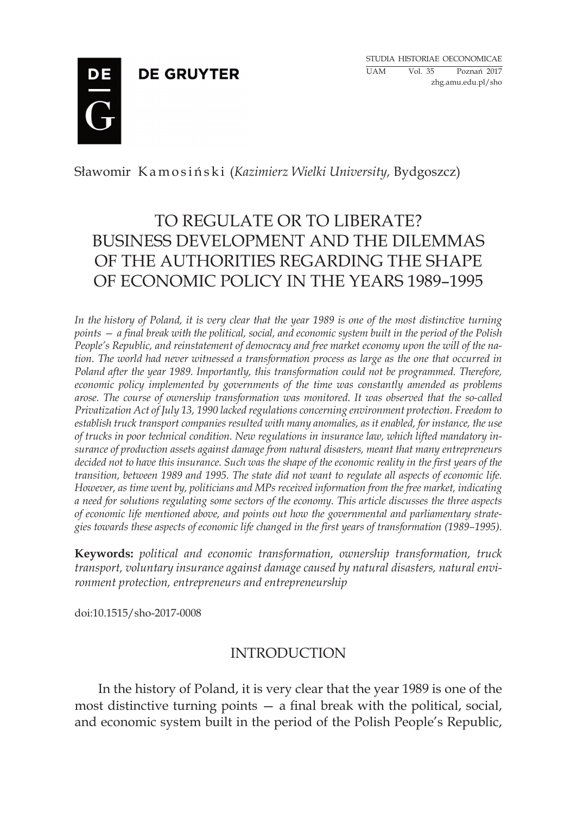**DE GRUYTER** 

Studia historiae oeconomicae UAM Vol. 35 Poznań 2017 zhg.amu.edu.pl/sho



Sławomir K a m o s i ń s k i (*Kazimierz Wielki University,* Bydgoszcz)

# TO REGULATE OR TO LIBERATE? BUSINESS DEVELOPMENT AND THE DILEMMAS OF THE AUTHORITIES REGARDING THE SHAPE OF ECONOMIC POLICY IN THE YEARS 1989–1995

*In the history of Poland, it is very clear that the year 1989 is one of the most distinctive turning points — a final break with the political, social, and economic system built in the period of the Polish People's Republic, and reinstatement of democracy and free market economy upon the will of the nation. The world had never witnessed a transformation process as large as the one that occurred in Poland after the year 1989. Importantly, this transformation could not be programmed. Therefore, economic policy implemented by governments of the time was constantly amended as problems arose. The course of ownership transformation was monitored. It was observed that the so-called Privatization Act of July 13, 1990 lacked regulations concerning environment protection. Freedom to establish truck transport companies resulted with many anomalies, as it enabled, for instance, the use of trucks in poor technical condition. New regulations in insurance law, which lifted mandatory insurance of production assets against damage from natural disasters, meant that many entrepreneurs*  decided not to have this insurance. Such was the shape of the economic reality in the first years of the *transition, between 1989 and 1995. The state did not want to regulate all aspects of economic life. However, as time went by, politicians and MPs received information from the free market, indicating a need for solutions regulating some sectors of the economy. This article discusses the three aspects of economic life mentioned above, and points out how the governmental and parliamentary strategies towards these aspects of economic life changed in the first years of transformation (1989–1995).*

**Keywords:** *political and economic transformation, ownership transformation, truck transport, voluntary insurance against damage caused by natural disasters, natural environment protection, entrepreneurs and entrepreneurship*

doi:10.1515/sho-2017-0008

### INTRODUCTION

 In the history of Poland, it is very clear that the year 1989 is one of the most distinctive turning points — a final break with the political, social, and economic system built in the period of the Polish People's Republic,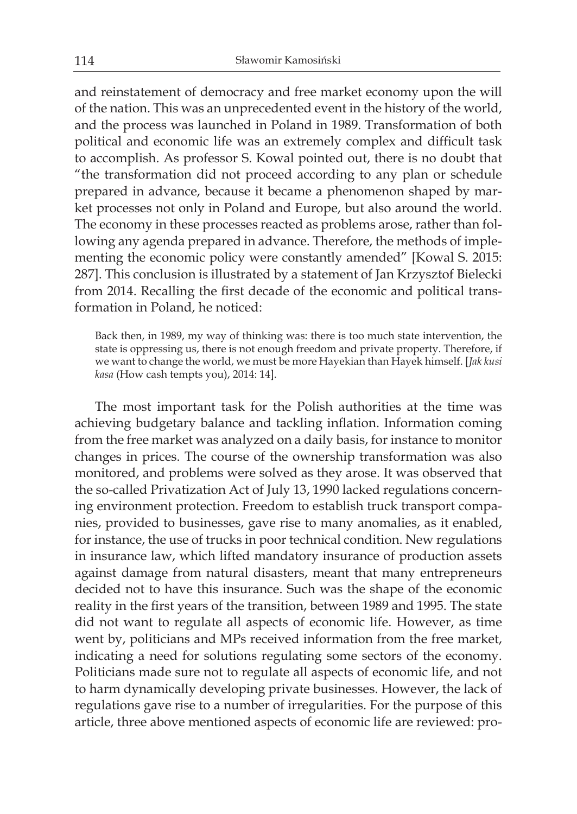and reinstatement of democracy and free market economy upon the will of the nation. This was an unprecedented event in the history of the world, and the process was launched in Poland in 1989. Transformation of both political and economic life was an extremely complex and difficult task to accomplish. As professor S. Kowal pointed out, there is no doubt that "the transformation did not proceed according to any plan or schedule prepared in advance, because it became a phenomenon shaped by market processes not only in Poland and Europe, but also around the world. The economy in these processes reacted as problems arose, rather than following any agenda prepared in advance. Therefore, the methods of implementing the economic policy were constantly amended" [Kowal S. 2015: 287]. This conclusion is illustrated by a statement of Jan Krzysztof Bielecki from 2014. Recalling the first decade of the economic and political transformation in Poland, he noticed:

Back then, in 1989, my way of thinking was: there is too much state intervention, the state is oppressing us, there is not enough freedom and private property. Therefore, if we want to change the world, we must be more Hayekian than Hayek himself. [*Jak kusi kasa* (How cash tempts you), 2014: 14].

The most important task for the Polish authorities at the time was achieving budgetary balance and tackling inflation. Information coming from the free market was analyzed on a daily basis, for instance to monitor changes in prices. The course of the ownership transformation was also monitored, and problems were solved as they arose. It was observed that the so-called Privatization Act of July 13, 1990 lacked regulations concerning environment protection. Freedom to establish truck transport companies, provided to businesses, gave rise to many anomalies, as it enabled, for instance, the use of trucks in poor technical condition. New regulations in insurance law, which lifted mandatory insurance of production assets against damage from natural disasters, meant that many entrepreneurs decided not to have this insurance. Such was the shape of the economic reality in the first years of the transition, between 1989 and 1995. The state did not want to regulate all aspects of economic life. However, as time went by, politicians and MPs received information from the free market, indicating a need for solutions regulating some sectors of the economy. Politicians made sure not to regulate all aspects of economic life, and not to harm dynamically developing private businesses. However, the lack of regulations gave rise to a number of irregularities. For the purpose of this article, three above mentioned aspects of economic life are reviewed: pro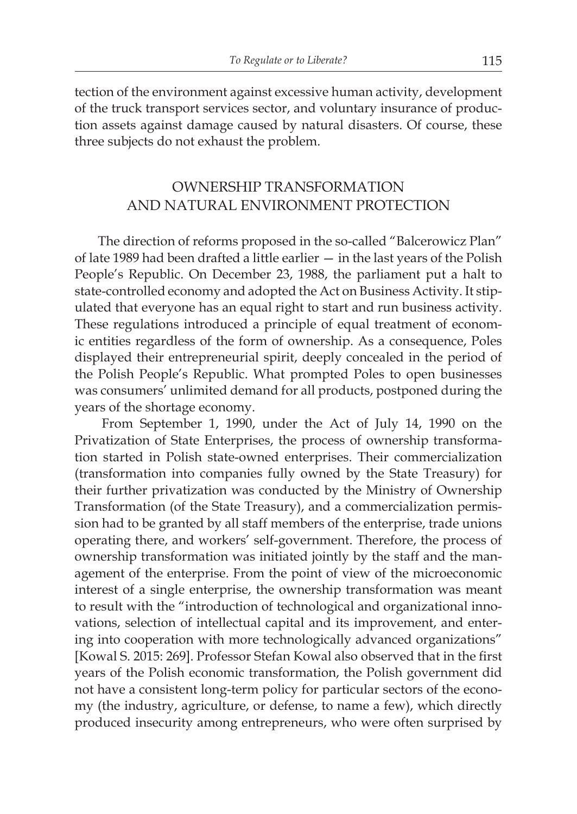tection of the environment against excessive human activity, development of the truck transport services sector, and voluntary insurance of production assets against damage caused by natural disasters. Of course, these three subjects do not exhaust the problem.

### OWNERSHIP TRANSFORMATION AND NATURAL ENVIRONMENT PROTECTION

 The direction of reforms proposed in the so-called "Balcerowicz Plan" of late 1989 had been drafted a little earlier — in the last years of the Polish People's Republic. On December 23, 1988, the parliament put a halt to state-controlled economy and adopted the Act on Business Activity. It stipulated that everyone has an equal right to start and run business activity. These regulations introduced a principle of equal treatment of economic entities regardless of the form of ownership. As a consequence, Poles displayed their entrepreneurial spirit, deeply concealed in the period of the Polish People's Republic. What prompted Poles to open businesses was consumers' unlimited demand for all products, postponed during the years of the shortage economy.

 From September 1, 1990, under the Act of July 14, 1990 on the Privatization of State Enterprises, the process of ownership transformation started in Polish state-owned enterprises. Their commercialization (transformation into companies fully owned by the State Treasury) for their further privatization was conducted by the Ministry of Ownership Transformation (of the State Treasury), and a commercialization permission had to be granted by all staff members of the enterprise, trade unions operating there, and workers' self-government. Therefore, the process of ownership transformation was initiated jointly by the staff and the management of the enterprise. From the point of view of the microeconomic interest of a single enterprise, the ownership transformation was meant to result with the "introduction of technological and organizational innovations, selection of intellectual capital and its improvement, and entering into cooperation with more technologically advanced organizations" [Kowal S. 2015: 269]. Professor Stefan Kowal also observed that in the first years of the Polish economic transformation, the Polish government did not have a consistent long-term policy for particular sectors of the economy (the industry, agriculture, or defense, to name a few), which directly produced insecurity among entrepreneurs, who were often surprised by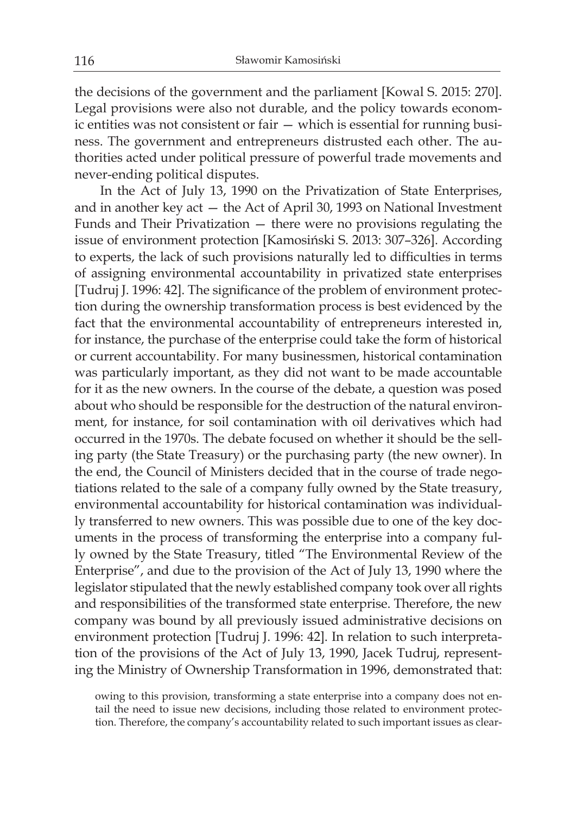the decisions of the government and the parliament [Kowal S. 2015: 270]. Legal provisions were also not durable, and the policy towards economic entities was not consistent or fair — which is essential for running business. The government and entrepreneurs distrusted each other. The authorities acted under political pressure of powerful trade movements and never-ending political disputes.

 In the Act of July 13, 1990 on the Privatization of State Enterprises, and in another key act — the Act of April 30, 1993 on National Investment Funds and Their Privatization — there were no provisions regulating the issue of environment protection [Kamosiński S. 2013: 307–326]. According to experts, the lack of such provisions naturally led to difficulties in terms of assigning environmental accountability in privatized state enterprises [Tudruj J. 1996: 42]. The significance of the problem of environment protection during the ownership transformation process is best evidenced by the fact that the environmental accountability of entrepreneurs interested in, for instance, the purchase of the enterprise could take the form of historical or current accountability. For many businessmen, historical contamination was particularly important, as they did not want to be made accountable for it as the new owners. In the course of the debate, a question was posed about who should be responsible for the destruction of the natural environment, for instance, for soil contamination with oil derivatives which had occurred in the 1970s. The debate focused on whether it should be the selling party (the State Treasury) or the purchasing party (the new owner). In the end, the Council of Ministers decided that in the course of trade negotiations related to the sale of a company fully owned by the State treasury, environmental accountability for historical contamination was individually transferred to new owners. This was possible due to one of the key documents in the process of transforming the enterprise into a company fully owned by the State Treasury, titled "The Environmental Review of the Enterprise", and due to the provision of the Act of July 13, 1990 where the legislator stipulated that the newly established company took over all rights and responsibilities of the transformed state enterprise. Therefore, the new company was bound by all previously issued administrative decisions on environment protection [Tudruj J. 1996: 42]. In relation to such interpretation of the provisions of the Act of July 13, 1990, Jacek Tudruj, representing the Ministry of Ownership Transformation in 1996, demonstrated that:

owing to this provision, transforming a state enterprise into a company does not entail the need to issue new decisions, including those related to environment protection. Therefore, the company's accountability related to such important issues as clear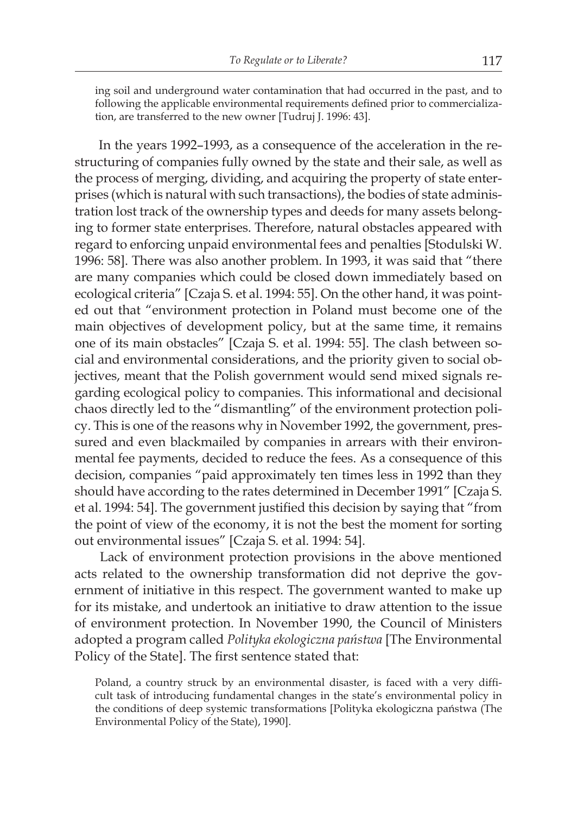ing soil and underground water contamination that had occurred in the past, and to following the applicable environmental requirements defined prior to commercialization, are transferred to the new owner [Tudruj J. 1996: 43].

In the years 1992–1993, as a consequence of the acceleration in the restructuring of companies fully owned by the state and their sale, as well as the process of merging, dividing, and acquiring the property of state enterprises (which is natural with such transactions), the bodies of state administration lost track of the ownership types and deeds for many assets belonging to former state enterprises. Therefore, natural obstacles appeared with regard to enforcing unpaid environmental fees and penalties [Stodulski W. 1996: 58]. There was also another problem. In 1993, it was said that "there are many companies which could be closed down immediately based on ecological criteria" [Czaja S. et al. 1994: 55]. On the other hand, it was pointed out that "environment protection in Poland must become one of the main objectives of development policy, but at the same time, it remains one of its main obstacles" [Czaja S. et al. 1994: 55]. The clash between social and environmental considerations, and the priority given to social objectives, meant that the Polish government would send mixed signals regarding ecological policy to companies. This informational and decisional chaos directly led to the "dismantling" of the environment protection policy. This is one of the reasons why in November 1992, the government, pressured and even blackmailed by companies in arrears with their environmental fee payments, decided to reduce the fees. As a consequence of this decision, companies "paid approximately ten times less in 1992 than they should have according to the rates determined in December 1991" [Czaja S. et al. 1994: 54]. The government justified this decision by saying that "from the point of view of the economy, it is not the best the moment for sorting out environmental issues" [Czaja S. et al. 1994: 54].

 Lack of environment protection provisions in the above mentioned acts related to the ownership transformation did not deprive the government of initiative in this respect. The government wanted to make up for its mistake, and undertook an initiative to draw attention to the issue of environment protection. In November 1990, the Council of Ministers adopted a program called *Polityka ekologiczna państwa* [The Environmental Policy of the State]. The first sentence stated that:

Poland, a country struck by an environmental disaster, is faced with a very difficult task of introducing fundamental changes in the state's environmental policy in the conditions of deep systemic transformations [Polityka ekologiczna państwa (The Environmental Policy of the State), 1990].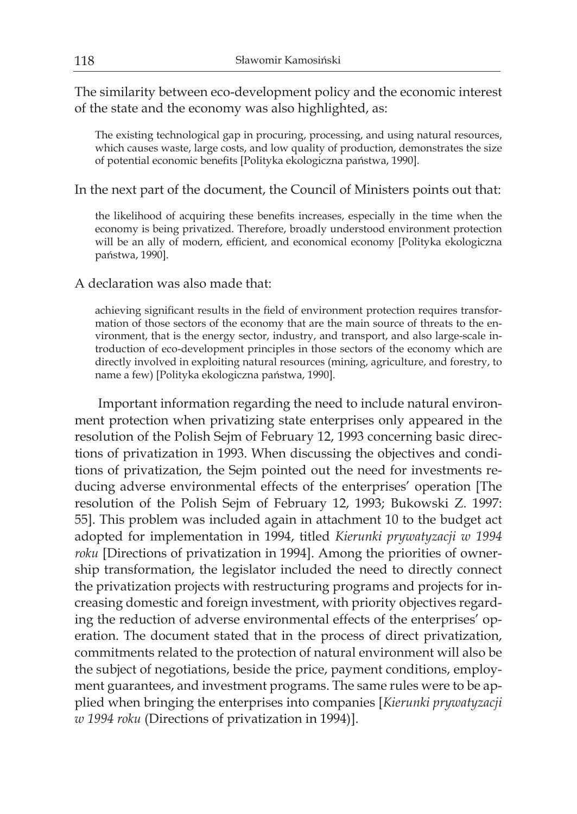The similarity between eco-development policy and the economic interest of the state and the economy was also highlighted, as:

The existing technological gap in procuring, processing, and using natural resources, which causes waste, large costs, and low quality of production, demonstrates the size of potential economic benefits [Polityka ekologiczna państwa, 1990].

In the next part of the document, the Council of Ministers points out that:

the likelihood of acquiring these benefits increases, especially in the time when the economy is being privatized. Therefore, broadly understood environment protection will be an ally of modern, efficient, and economical economy [Polityka ekologiczna państwa, 1990].

A declaration was also made that:

achieving significant results in the field of environment protection requires transformation of those sectors of the economy that are the main source of threats to the environment, that is the energy sector, industry, and transport, and also large-scale introduction of eco-development principles in those sectors of the economy which are directly involved in exploiting natural resources (mining, agriculture, and forestry, to name a few) [Polityka ekologiczna państwa, 1990].

 Important information regarding the need to include natural environment protection when privatizing state enterprises only appeared in the resolution of the Polish Sejm of February 12, 1993 concerning basic directions of privatization in 1993. When discussing the objectives and conditions of privatization, the Sejm pointed out the need for investments reducing adverse environmental effects of the enterprises' operation [The resolution of the Polish Sejm of February 12, 1993; Bukowski Z. 1997: 55]. This problem was included again in attachment 10 to the budget act adopted for implementation in 1994, titled *Kierunki prywatyzacji w 1994 roku* [Directions of privatization in 1994]. Among the priorities of ownership transformation, the legislator included the need to directly connect the privatization projects with restructuring programs and projects for increasing domestic and foreign investment, with priority objectives regarding the reduction of adverse environmental effects of the enterprises' operation. The document stated that in the process of direct privatization, commitments related to the protection of natural environment will also be the subject of negotiations, beside the price, payment conditions, employment guarantees, and investment programs. The same rules were to be applied when bringing the enterprises into companies [*Kierunki prywatyzacji w 1994 roku* (Directions of privatization in 1994)].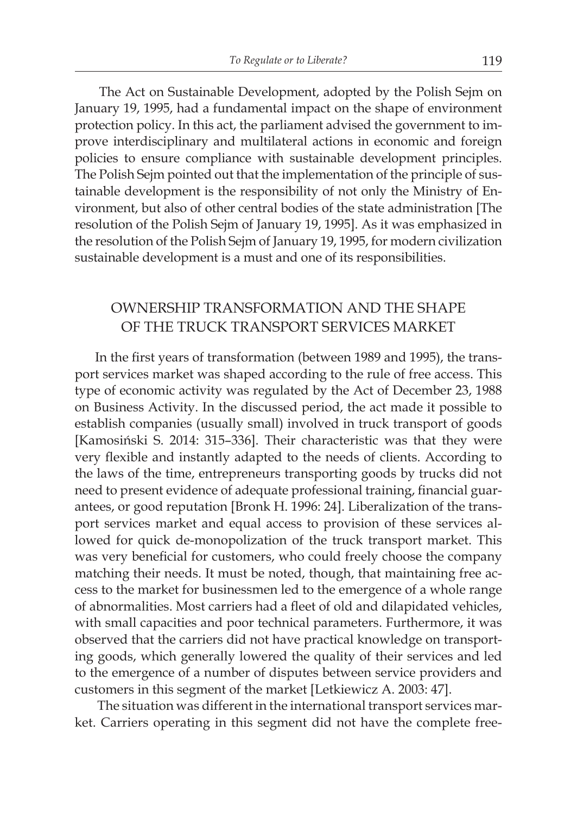The Act on Sustainable Development, adopted by the Polish Sejm on January 19, 1995, had a fundamental impact on the shape of environment protection policy. In this act, the parliament advised the government to improve interdisciplinary and multilateral actions in economic and foreign policies to ensure compliance with sustainable development principles. The Polish Sejm pointed out that the implementation of the principle of sustainable development is the responsibility of not only the Ministry of Environment, but also of other central bodies of the state administration [The resolution of the Polish Sejm of January 19, 1995]. As it was emphasized in the resolution of the Polish Sejm of January 19, 1995, for modern civilization sustainable development is a must and one of its responsibilities.

#### OWNERSHIP TRANSFORMATION AND THE SHAPE OF THE TRUCK TRANSPORT SERVICES MARKET

In the first years of transformation (between 1989 and 1995), the transport services market was shaped according to the rule of free access. This type of economic activity was regulated by the Act of December 23, 1988 on Business Activity. In the discussed period, the act made it possible to establish companies (usually small) involved in truck transport of goods [Kamosiński S. 2014: 315–336]. Their characteristic was that they were very flexible and instantly adapted to the needs of clients. According to the laws of the time, entrepreneurs transporting goods by trucks did not need to present evidence of adequate professional training, financial guarantees, or good reputation [Bronk H. 1996: 24]. Liberalization of the transport services market and equal access to provision of these services allowed for quick de-monopolization of the truck transport market. This was very beneficial for customers, who could freely choose the company matching their needs. It must be noted, though, that maintaining free access to the market for businessmen led to the emergence of a whole range of abnormalities. Most carriers had a fleet of old and dilapidated vehicles, with small capacities and poor technical parameters. Furthermore, it was observed that the carriers did not have practical knowledge on transporting goods, which generally lowered the quality of their services and led to the emergence of a number of disputes between service providers and customers in this segment of the market [Letkiewicz A. 2003: 47].

 The situation was different in the international transport services market. Carriers operating in this segment did not have the complete free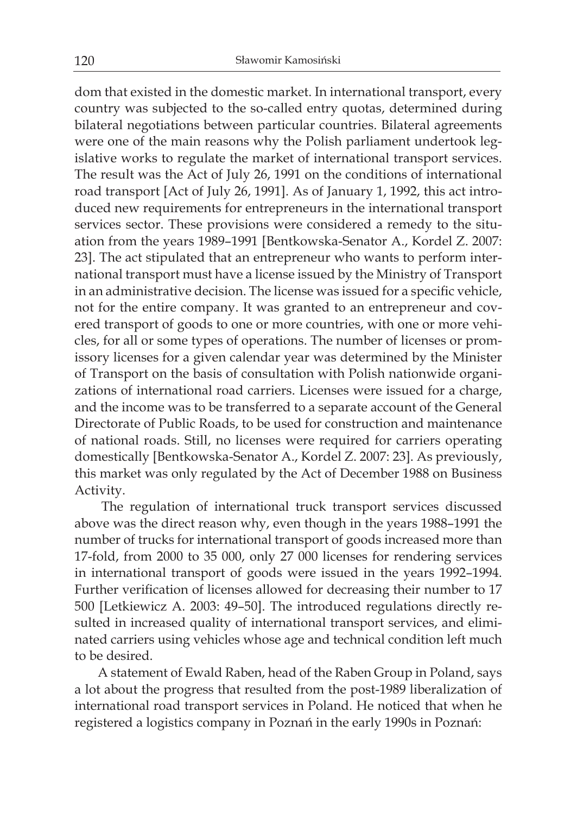dom that existed in the domestic market. In international transport, every country was subjected to the so-called entry quotas, determined during bilateral negotiations between particular countries. Bilateral agreements were one of the main reasons why the Polish parliament undertook legislative works to regulate the market of international transport services. The result was the Act of July 26, 1991 on the conditions of international road transport [Act of July 26, 1991]. As of January 1, 1992, this act introduced new requirements for entrepreneurs in the international transport services sector. These provisions were considered a remedy to the situation from the years 1989–1991 [Bentkowska-Senator A., Kordel Z. 2007: 23]. The act stipulated that an entrepreneur who wants to perform international transport must have a license issued by the Ministry of Transport in an administrative decision. The license was issued for a specific vehicle, not for the entire company. It was granted to an entrepreneur and covered transport of goods to one or more countries, with one or more vehicles, for all or some types of operations. The number of licenses or promissory licenses for a given calendar year was determined by the Minister of Transport on the basis of consultation with Polish nationwide organizations of international road carriers. Licenses were issued for a charge, and the income was to be transferred to a separate account of the General Directorate of Public Roads, to be used for construction and maintenance of national roads. Still, no licenses were required for carriers operating domestically [Bentkowska-Senator A., Kordel Z. 2007: 23]. As previously, this market was only regulated by the Act of December 1988 on Business Activity.

 The regulation of international truck transport services discussed above was the direct reason why, even though in the years 1988–1991 the number of trucks for international transport of goods increased more than 17-fold, from 2000 to 35 000, only 27 000 licenses for rendering services in international transport of goods were issued in the years 1992–1994. Further verification of licenses allowed for decreasing their number to 17 500 [Letkiewicz A. 2003: 49–50]. The introduced regulations directly resulted in increased quality of international transport services, and eliminated carriers using vehicles whose age and technical condition left much to be desired.

 A statement of Ewald Raben, head of the Raben Group in Poland, says a lot about the progress that resulted from the post-1989 liberalization of international road transport services in Poland. He noticed that when he registered a logistics company in Poznań in the early 1990s in Poznań: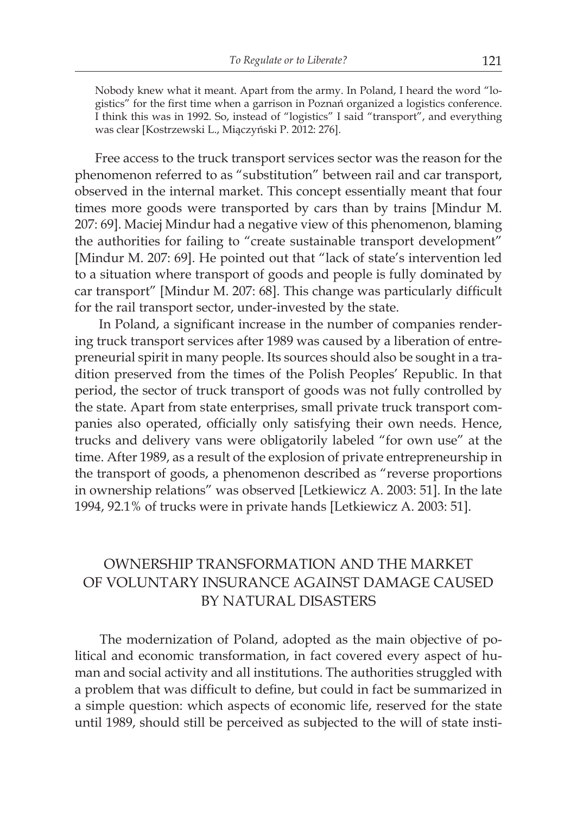Nobody knew what it meant. Apart from the army. In Poland, I heard the word "logistics" for the first time when a garrison in Poznań organized a logistics conference. I think this was in 1992. So, instead of "logistics" I said "transport", and everything was clear [Kostrzewski L., Miączyński P. 2012: 276].

Free access to the truck transport services sector was the reason for the phenomenon referred to as "substitution" between rail and car transport, observed in the internal market. This concept essentially meant that four times more goods were transported by cars than by trains [Mindur M. 207: 69]. Maciej Mindur had a negative view of this phenomenon, blaming the authorities for failing to "create sustainable transport development" [Mindur M. 207: 69]. He pointed out that "lack of state's intervention led to a situation where transport of goods and people is fully dominated by car transport" [Mindur M. 207: 68]. This change was particularly difficult for the rail transport sector, under-invested by the state.

 In Poland, a significant increase in the number of companies rendering truck transport services after 1989 was caused by a liberation of entrepreneurial spirit in many people. Its sources should also be sought in a tradition preserved from the times of the Polish Peoples' Republic. In that period, the sector of truck transport of goods was not fully controlled by the state. Apart from state enterprises, small private truck transport companies also operated, officially only satisfying their own needs. Hence, trucks and delivery vans were obligatorily labeled "for own use" at the time. After 1989, as a result of the explosion of private entrepreneurship in the transport of goods, a phenomenon described as "reverse proportions in ownership relations" was observed [Letkiewicz A. 2003: 51]. In the late 1994, 92.1% of trucks were in private hands [Letkiewicz A. 2003: 51].

## OWNERSHIP TRANSFORMATION AND THE MARKET OF VOLUNTARY INSURANCE AGAINST DAMAGE CAUSED BY NATURAL DISASTERS

 The modernization of Poland, adopted as the main objective of political and economic transformation, in fact covered every aspect of human and social activity and all institutions. The authorities struggled with a problem that was difficult to define, but could in fact be summarized in a simple question: which aspects of economic life, reserved for the state until 1989, should still be perceived as subjected to the will of state insti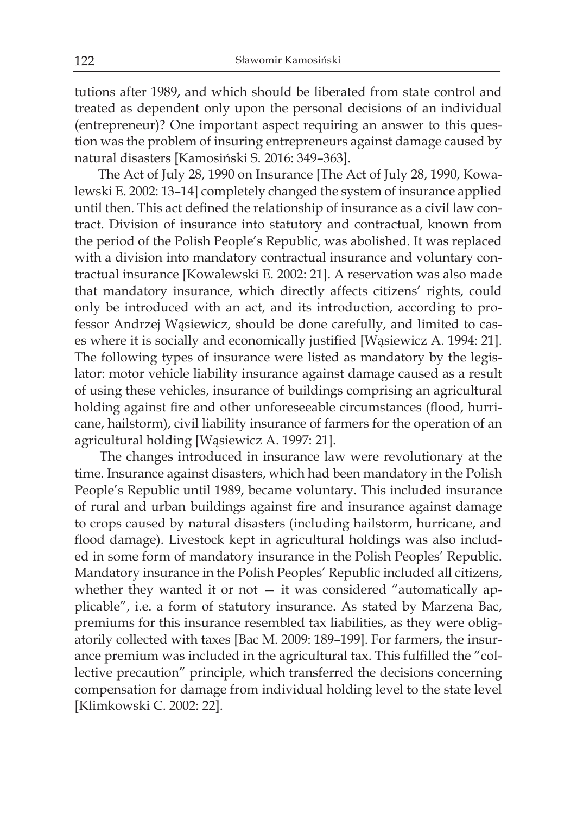tutions after 1989, and which should be liberated from state control and treated as dependent only upon the personal decisions of an individual (entrepreneur)? One important aspect requiring an answer to this question was the problem of insuring entrepreneurs against damage caused by natural disasters [Kamosiński S. 2016: 349–363].

 The Act of July 28, 1990 on Insurance [The Act of July 28, 1990, Kowalewski E. 2002: 13–14] completely changed the system of insurance applied until then. This act defined the relationship of insurance as a civil law contract. Division of insurance into statutory and contractual, known from the period of the Polish People's Republic, was abolished. It was replaced with a division into mandatory contractual insurance and voluntary contractual insurance [Kowalewski E. 2002: 21]. A reservation was also made that mandatory insurance, which directly affects citizens' rights, could only be introduced with an act, and its introduction, according to professor Andrzej Wąsiewicz, should be done carefully, and limited to cases where it is socially and economically justified [Wąsiewicz A. 1994: 21]. The following types of insurance were listed as mandatory by the legislator: motor vehicle liability insurance against damage caused as a result of using these vehicles, insurance of buildings comprising an agricultural holding against fire and other unforeseeable circumstances (flood, hurricane, hailstorm), civil liability insurance of farmers for the operation of an agricultural holding [Wąsiewicz A. 1997: 21].

 The changes introduced in insurance law were revolutionary at the time. Insurance against disasters, which had been mandatory in the Polish People's Republic until 1989, became voluntary. This included insurance of rural and urban buildings against fire and insurance against damage to crops caused by natural disasters (including hailstorm, hurricane, and flood damage). Livestock kept in agricultural holdings was also included in some form of mandatory insurance in the Polish Peoples' Republic. Mandatory insurance in the Polish Peoples' Republic included all citizens, whether they wanted it or not  $-$  it was considered "automatically applicable", i.e. a form of statutory insurance. As stated by Marzena Bac, premiums for this insurance resembled tax liabilities, as they were obligatorily collected with taxes [Bac M. 2009: 189–199]. For farmers, the insurance premium was included in the agricultural tax. This fulfilled the "collective precaution" principle, which transferred the decisions concerning compensation for damage from individual holding level to the state level [Klimkowski C. 2002: 22].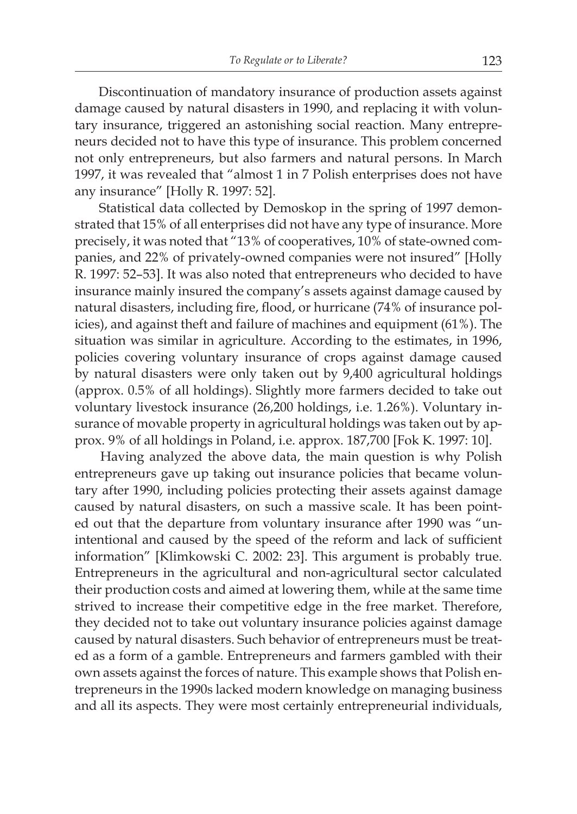Discontinuation of mandatory insurance of production assets against damage caused by natural disasters in 1990, and replacing it with voluntary insurance, triggered an astonishing social reaction. Many entrepreneurs decided not to have this type of insurance. This problem concerned not only entrepreneurs, but also farmers and natural persons. In March 1997, it was revealed that "almost 1 in 7 Polish enterprises does not have any insurance" [Holly R. 1997: 52].

 Statistical data collected by Demoskop in the spring of 1997 demonstrated that 15% of all enterprises did not have any type of insurance. More precisely, it was noted that "13% of cooperatives, 10% of state-owned companies, and 22% of privately-owned companies were not insured" [Holly R. 1997: 52–53]. It was also noted that entrepreneurs who decided to have insurance mainly insured the company's assets against damage caused by natural disasters, including fire, flood, or hurricane (74% of insurance policies), and against theft and failure of machines and equipment (61%). The situation was similar in agriculture. According to the estimates, in 1996, policies covering voluntary insurance of crops against damage caused by natural disasters were only taken out by 9,400 agricultural holdings (approx. 0.5% of all holdings). Slightly more farmers decided to take out voluntary livestock insurance (26,200 holdings, i.e. 1.26%). Voluntary insurance of movable property in agricultural holdings was taken out by approx. 9% of all holdings in Poland, i.e. approx. 187,700 [Fok K. 1997: 10].

 Having analyzed the above data, the main question is why Polish entrepreneurs gave up taking out insurance policies that became voluntary after 1990, including policies protecting their assets against damage caused by natural disasters, on such a massive scale. It has been pointed out that the departure from voluntary insurance after 1990 was "unintentional and caused by the speed of the reform and lack of sufficient information" [Klimkowski C. 2002: 23]. This argument is probably true. Entrepreneurs in the agricultural and non-agricultural sector calculated their production costs and aimed at lowering them, while at the same time strived to increase their competitive edge in the free market. Therefore, they decided not to take out voluntary insurance policies against damage caused by natural disasters. Such behavior of entrepreneurs must be treated as a form of a gamble. Entrepreneurs and farmers gambled with their own assets against the forces of nature. This example shows that Polish entrepreneurs in the 1990s lacked modern knowledge on managing business and all its aspects. They were most certainly entrepreneurial individuals,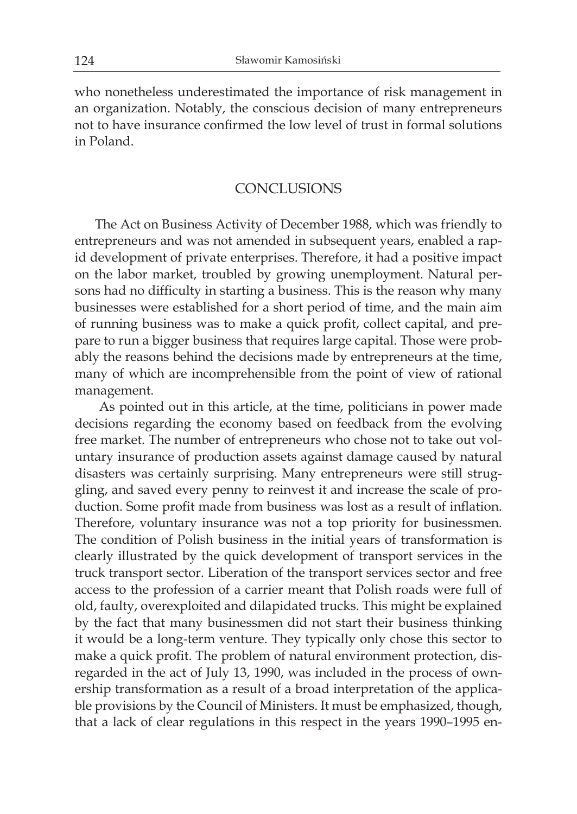who nonetheless underestimated the importance of risk management in an organization. Notably, the conscious decision of many entrepreneurs not to have insurance confirmed the low level of trust in formal solutions in Poland.

#### CONCLUSIONS

The Act on Business Activity of December 1988, which was friendly to entrepreneurs and was not amended in subsequent years, enabled a rapid development of private enterprises. Therefore, it had a positive impact on the labor market, troubled by growing unemployment. Natural persons had no difficulty in starting a business. This is the reason why many businesses were established for a short period of time, and the main aim of running business was to make a quick profit, collect capital, and prepare to run a bigger business that requires large capital. Those were probably the reasons behind the decisions made by entrepreneurs at the time, many of which are incomprehensible from the point of view of rational management.

 As pointed out in this article, at the time, politicians in power made decisions regarding the economy based on feedback from the evolving free market. The number of entrepreneurs who chose not to take out voluntary insurance of production assets against damage caused by natural disasters was certainly surprising. Many entrepreneurs were still struggling, and saved every penny to reinvest it and increase the scale of production. Some profit made from business was lost as a result of inflation. Therefore, voluntary insurance was not a top priority for businessmen. The condition of Polish business in the initial years of transformation is clearly illustrated by the quick development of transport services in the truck transport sector. Liberation of the transport services sector and free access to the profession of a carrier meant that Polish roads were full of old, faulty, overexploited and dilapidated trucks. This might be explained by the fact that many businessmen did not start their business thinking it would be a long-term venture. They typically only chose this sector to make a quick profit. The problem of natural environment protection, disregarded in the act of July 13, 1990, was included in the process of ownership transformation as a result of a broad interpretation of the applicable provisions by the Council of Ministers. It must be emphasized, though, that a lack of clear regulations in this respect in the years 1990–1995 en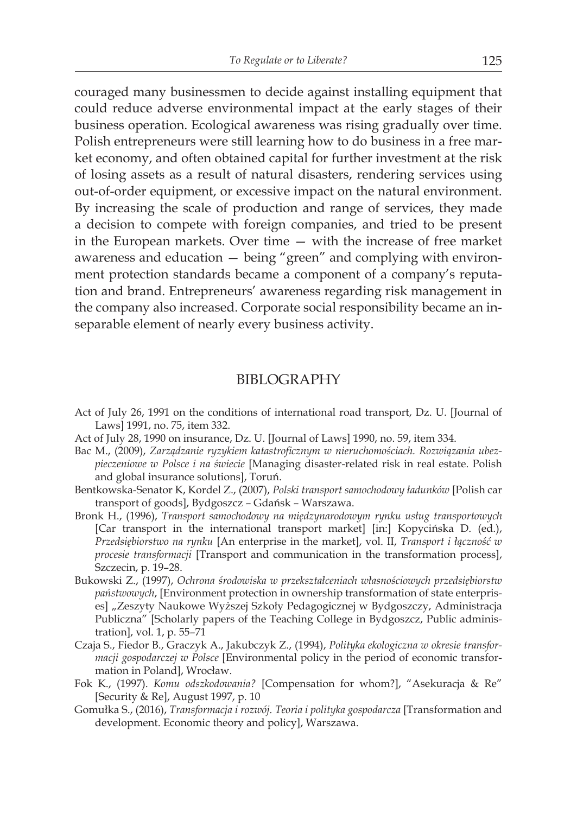couraged many businessmen to decide against installing equipment that could reduce adverse environmental impact at the early stages of their business operation. Ecological awareness was rising gradually over time. Polish entrepreneurs were still learning how to do business in a free market economy, and often obtained capital for further investment at the risk of losing assets as a result of natural disasters, rendering services using out-of-order equipment, or excessive impact on the natural environment. By increasing the scale of production and range of services, they made a decision to compete with foreign companies, and tried to be present in the European markets. Over time — with the increase of free market awareness and education — being "green" and complying with environment protection standards became a component of a company's reputation and brand. Entrepreneurs' awareness regarding risk management in the company also increased. Corporate social responsibility became an inseparable element of nearly every business activity.

#### BIBLOGRAPHY

- Act of July 26, 1991 on the conditions of international road transport, Dz. U. [Journal of Laws] 1991, no. 75, item 332.
- Act of July 28, 1990 on insurance, Dz. U. [Journal of Laws] 1990, no. 59, item 334.
- Bac M., (2009), *Zarządzanie ryzykiem katastroficznym w nieruchomościach. Rozwiązania ubezpieczeniowe w Polsce i na świecie* [Managing disaster-related risk in real estate. Polish and global insurance solutions], Toruń.
- Bentkowska-Senator K, Kordel Z., (2007), *Polski transport samochodowy ładunków* [Polish car transport of goods], Bydgoszcz – Gdańsk – Warszawa.
- Bronk H., (1996), *Transport samochodowy na międzynarodowym rynku usług transportowych* [Car transport in the international transport market] [in:] Kopycińska D. (ed.), *Przedsiębiorstwo na rynku* [An enterprise in the market], vol. II, *Transport i łączność w procesie transformacji* [Transport and communication in the transformation process], Szczecin, p. 19–28.
- Bukowski Z., (1997), *Ochrona środowiska w przekształceniach własnościowych przedsiębiorstw państwowych*, [Environment protection in ownership transformation of state enterprises] "Zeszyty Naukowe Wyższej Szkoły Pedagogicznej w Bydgoszczy, Administracja Publiczna" [Scholarly papers of the Teaching College in Bydgoszcz, Public administration], vol. 1, p. 55–71
- Czaja S., Fiedor B., Graczyk A., Jakubczyk Z., (1994), *Polityka ekologiczna w okresie transformacji gospodarczej w Polsce* [Environmental policy in the period of economic transformation in Poland], Wrocław.
- Fok K., (1997). *Komu odszkodowania?* [Compensation for whom?], "Asekuracja & Re" [Security & Re], August 1997, p. 10
- Gomułka S., (2016), *Transformacja i rozwój. Teoria i polityka gospodarcza* [Transformation and development. Economic theory and policy], Warszawa.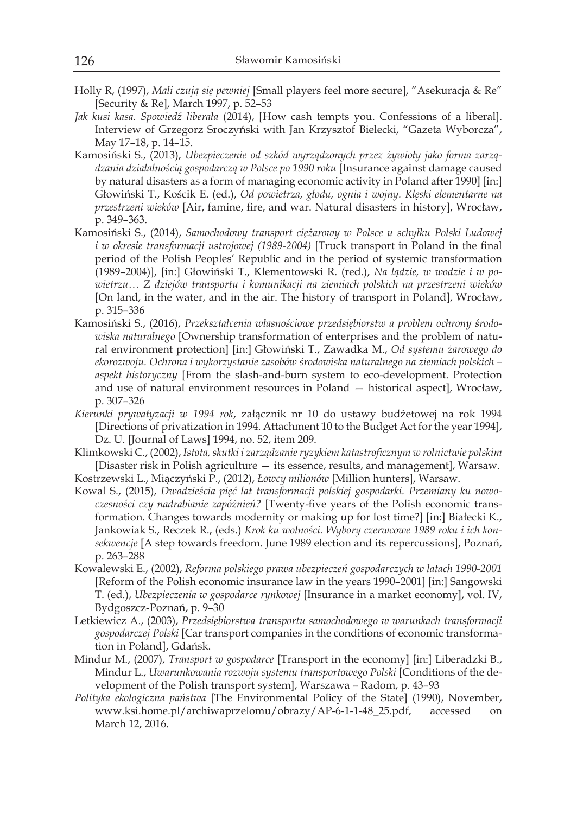- Holly R, (1997), *Mali czują się pewniej* [Small players feel more secure], "Asekuracja & Re" [Security & Re], March 1997, p. 52–53
- *Jak kusi kasa. Spowiedź liberała* (2014), [How cash tempts you. Confessions of a liberal]. Interview of Grzegorz Sroczyński with Jan Krzysztof Bielecki, "Gazeta Wyborcza", May 17–18, p. 14–15.
- Kamosiński S., (2013), *Ubezpieczenie od szkód wyrządzonych przez żywioły jako forma zarządzania działalnością gospodarczą w Polsce po 1990 roku* [Insurance against damage caused by natural disasters as a form of managing economic activity in Poland after 1990] [in:] Głowiński T., Kościk E. (ed.), *Od powietrza, głodu, ognia i wojny. Klęski elementarne na przestrzeni wieków* [Air, famine, fire, and war. Natural disasters in history], Wrocław, p. 349–363.
- Kamosiński S., (2014), *Samochodowy transport ciężarowy w Polsce u schyłku Polski Ludowej i w okresie transformacji ustrojowej (1989-2004)* [Truck transport in Poland in the final period of the Polish Peoples' Republic and in the period of systemic transformation (1989–2004)], [in:] Głowiński T., Klementowski R. (red.), *Na lądzie, w wodzie i w powietrzu… Z dziejów transportu i komunikacji na ziemiach polskich na przestrzeni wieków* [On land, in the water, and in the air. The history of transport in Poland], Wrocław, p. 315–336
- Kamosiński S., (2016), *Przekształcenia własnościowe przedsiębiorstw a problem ochrony środowiska naturalnego* [Ownership transformation of enterprises and the problem of natural environment protection] [in:] Głowiński T., Zawadka M., *Od systemu żarowego do ekorozwoju. Ochrona i wykorzystanie zasobów środowiska naturalnego na ziemiach polskich – aspekt historyczny* [From the slash-and-burn system to eco-development. Protection and use of natural environment resources in Poland — historical aspect], Wrocław, p. 307–326
- *Kierunki prywatyzacji w 1994 rok*, załącznik nr 10 do ustawy budżetowej na rok 1994 [Directions of privatization in 1994. Attachment 10 to the Budget Act for the year 1994], Dz. U. [Journal of Laws] 1994, no. 52, item 209.
- Klimkowski C., (2002), *Istota,skutki i zarządzanieryzykiem katastroficznym w rolnictwie polskim* [Disaster risk in Polish agriculture — its essence, results, and management], Warsaw.
- Kostrzewski L., Miączyński P., (2012), *Łowcy milionów* [Million hunters], Warsaw.
- Kowal S., (2015), *Dwadzieścia pięć lat transformacji polskiej gospodarki. Przemiany ku nowoczesności czy nadrabianie zapóźnień?* [Twenty-five years of the Polish economic transformation. Changes towards modernity or making up for lost time?] [in:] Białecki K., Jankowiak S., Reczek R., (eds.) *Krok ku wolności. Wybory czerwcowe 1989 roku i ich konsekwencje* [A step towards freedom. June 1989 election and its repercussions], Poznań, p. 263–288
- Kowalewski E., (2002), *Reforma polskiego prawa ubezpieczeń gospodarczych w latach 1990-2001* [Reform of the Polish economic insurance law in the years 1990–2001] [in:] Sangowski T. (ed.), *Ubezpieczenia w gospodarce rynkowej* [Insurance in a market economy], vol. IV, Bydgoszcz-Poznań, p. 9–30
- Letkiewicz A., (2003), *Przedsiębiorstwa transportu samochodowego w warunkach transformacji gospodarczej Polski* [Car transport companies in the conditions of economic transformation in Poland], Gdańsk.
- Mindur M., (2007), *Transport w gospodarce* [Transport in the economy] [in:] Liberadzki B., Mindur L., *Uwarunkowania rozwoju systemu transportowego Polski* [Conditions of the development of the Polish transport system], Warszawa – Radom, p. 43–93
- *Polityka ekologiczna państwa* [The Environmental Policy of the State] (1990), November, www.ksi.home.pl/archiwaprzelomu/obrazy/AP-6-1-1-48\_25.pdf, accessed on March 12, 2016.